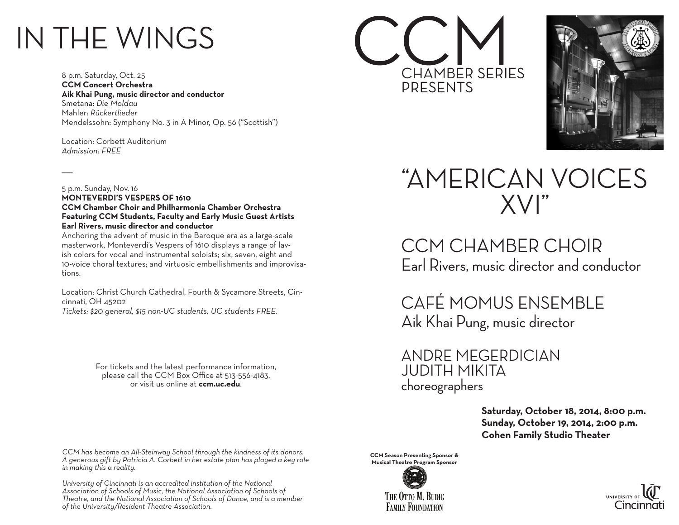## IN THE WINGS

8 p.m. Saturday, Oct. 25 **CCM Concert Orchestra Aik Khai Pung, music director and conductor** Smetana: *Die Moldau*  Mahler: *Rückertlieder* Mendelssohn: Symphony No. 3 in A Minor, Op. 56 ("Scottish")

Location: Corbett Auditorium *Admission: FREE*

 $\overline{\phantom{a}}$ 

5 p.m. Sunday, Nov. 16 **MONTEVERDI'S VESPERS OF 1610 CCM Chamber Choir and Philharmonia Chamber Orchestra Featuring CCM Students, Faculty and Early Music Guest Artists Earl Rivers, music director and conductor**

Anchoring the advent of music in the Baroque era as a large-scale masterwork, Monteverdi's Vespers of 1610 displays a range of lavish colors for vocal and instrumental soloists; six, seven, eight and 10-voice choral textures; and virtuosic embellishments and improvisations.

Location: Christ Church Cathedral, Fourth & Sycamore Streets, Cincinnati, OH 45202

*Tickets: \$20 general, \$15 non-UC students, UC students FREE.*

For tickets and the latest performance information, please call the CCM Box Office at 513-556-4183, or visit us online at **ccm.uc.edu**.

*CCM has become an All-Steinway School through the kindness of its donors. A generous gift by Patricia A. Corbett in her estate plan has played a key role in making this a reality.*

*University of Cincinnati is an accredited institution of the National Association of Schools of Music, the National Association of Schools of Theatre, and the National Association of Schools of Dance, and is a member of the University/Resident Theatre Association.*





### "AMERICAN VOICES XVI"

CCM CHAMBER CHOIR Earl Rivers, music director and conductor

CAFÉ MOMUS ENSEMBLE Aik Khai Pung, music director

ANDRE MEGERDICIAN JUDITH MIKITA choreographers

> **Saturday, October 18, 2014, 8:00 p.m. Sunday, October 19, 2014, 2:00 p.m. Cohen Family Studio Theater**

**CCM Season Presenting Sponsor & Musical Theatre Program Sponsor**